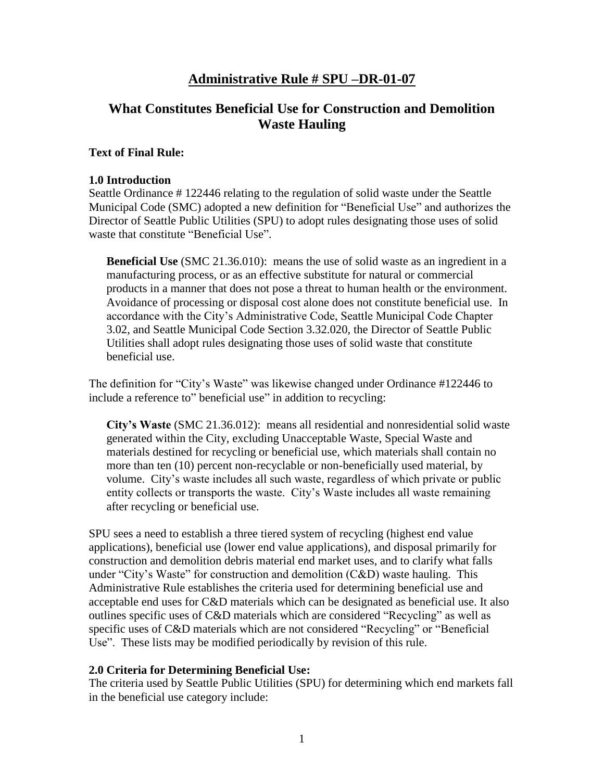## **Administrative Rule # SPU –DR-01-07**

# **What Constitutes Beneficial Use for Construction and Demolition Waste Hauling**

#### **Text of Final Rule:**

#### **1.0 Introduction**

Seattle Ordinance # 122446 relating to the regulation of solid waste under the Seattle Municipal Code (SMC) adopted a new definition for "Beneficial Use" and authorizes the Director of Seattle Public Utilities (SPU) to adopt rules designating those uses of solid waste that constitute "Beneficial Use".

**Beneficial Use** (SMC 21.36.010): means the use of solid waste as an ingredient in a manufacturing process, or as an effective substitute for natural or commercial products in a manner that does not pose a threat to human health or the environment. Avoidance of processing or disposal cost alone does not constitute beneficial use. In accordance with the City's Administrative Code, Seattle Municipal Code Chapter 3.02, and Seattle Municipal Code Section 3.32.020, the Director of Seattle Public Utilities shall adopt rules designating those uses of solid waste that constitute beneficial use.

The definition for "City's Waste" was likewise changed under Ordinance #122446 to include a reference to" beneficial use" in addition to recycling:

**City's Waste** (SMC 21.36.012): means all residential and nonresidential solid waste generated within the City, excluding Unacceptable Waste, Special Waste and materials destined for recycling or beneficial use, which materials shall contain no more than ten (10) percent non-recyclable or non-beneficially used material, by volume. City's waste includes all such waste, regardless of which private or public entity collects or transports the waste. City's Waste includes all waste remaining after recycling or beneficial use.

SPU sees a need to establish a three tiered system of recycling (highest end value applications), beneficial use (lower end value applications), and disposal primarily for construction and demolition debris material end market uses, and to clarify what falls under "City's Waste" for construction and demolition (C&D) waste hauling. This Administrative Rule establishes the criteria used for determining beneficial use and acceptable end uses for C&D materials which can be designated as beneficial use. It also outlines specific uses of C&D materials which are considered "Recycling" as well as specific uses of C&D materials which are not considered "Recycling" or "Beneficial Use". These lists may be modified periodically by revision of this rule.

#### **2.0 Criteria for Determining Beneficial Use:**

The criteria used by Seattle Public Utilities (SPU) for determining which end markets fall in the beneficial use category include: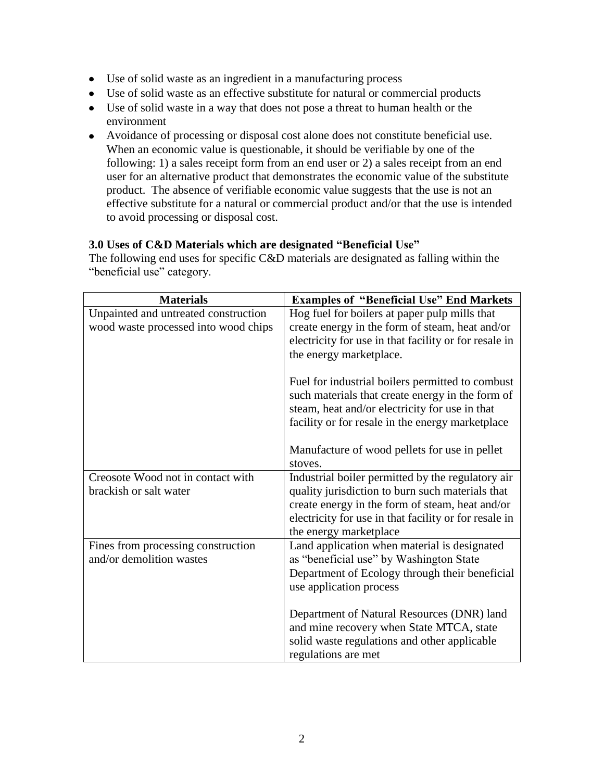- Use of solid waste as an ingredient in a manufacturing process
- Use of solid waste as an effective substitute for natural or commercial products
- Use of solid waste in a way that does not pose a threat to human health or the environment
- Avoidance of processing or disposal cost alone does not constitute beneficial use. When an economic value is questionable, it should be verifiable by one of the following: 1) a sales receipt form from an end user or 2) a sales receipt from an end user for an alternative product that demonstrates the economic value of the substitute product. The absence of verifiable economic value suggests that the use is not an effective substitute for a natural or commercial product and/or that the use is intended to avoid processing or disposal cost.

## **3.0 Uses of C&D Materials which are designated "Beneficial Use"**

The following end uses for specific C&D materials are designated as falling within the "beneficial use" category.

| <b>Materials</b>                     | <b>Examples of "Beneficial Use" End Markets</b>       |
|--------------------------------------|-------------------------------------------------------|
| Unpainted and untreated construction | Hog fuel for boilers at paper pulp mills that         |
| wood waste processed into wood chips | create energy in the form of steam, heat and/or       |
|                                      | electricity for use in that facility or for resale in |
|                                      | the energy marketplace.                               |
|                                      | Fuel for industrial boilers permitted to combust      |
|                                      | such materials that create energy in the form of      |
|                                      | steam, heat and/or electricity for use in that        |
|                                      | facility or for resale in the energy marketplace      |
|                                      | Manufacture of wood pellets for use in pellet         |
|                                      | stoves.                                               |
| Creosote Wood not in contact with    | Industrial boiler permitted by the regulatory air     |
| brackish or salt water               | quality jurisdiction to burn such materials that      |
|                                      | create energy in the form of steam, heat and/or       |
|                                      | electricity for use in that facility or for resale in |
|                                      | the energy marketplace                                |
| Fines from processing construction   | Land application when material is designated          |
| and/or demolition wastes             | as "beneficial use" by Washington State               |
|                                      | Department of Ecology through their beneficial        |
|                                      | use application process                               |
|                                      | Department of Natural Resources (DNR) land            |
|                                      | and mine recovery when State MTCA, state              |
|                                      | solid waste regulations and other applicable          |
|                                      | regulations are met                                   |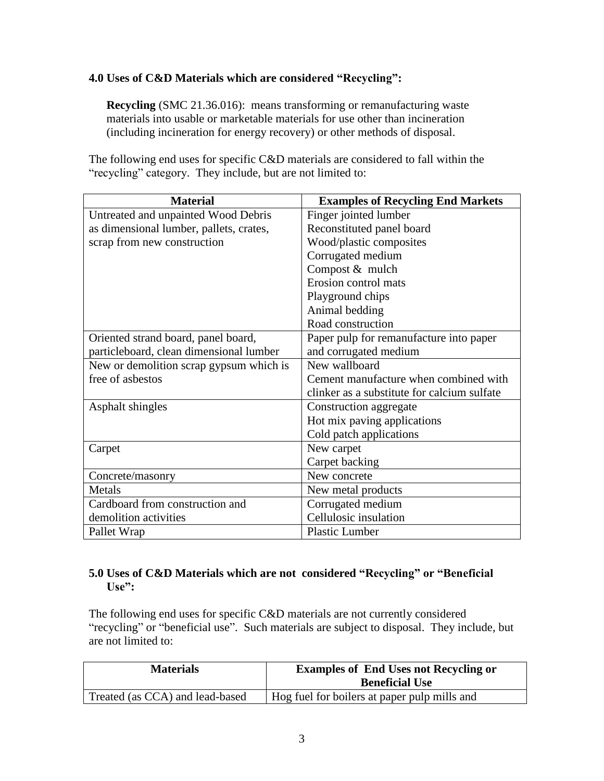## **4.0 Uses of C&D Materials which are considered "Recycling":**

**Recycling** (SMC 21.36.016): means transforming or remanufacturing waste materials into usable or marketable materials for use other than incineration (including incineration for energy recovery) or other methods of disposal.

The following end uses for specific C&D materials are considered to fall within the "recycling" category. They include, but are not limited to:

| <b>Material</b>                         | <b>Examples of Recycling End Markets</b>    |
|-----------------------------------------|---------------------------------------------|
| Untreated and unpainted Wood Debris     | Finger jointed lumber                       |
| as dimensional lumber, pallets, crates, | Reconstituted panel board                   |
| scrap from new construction             | Wood/plastic composites                     |
|                                         | Corrugated medium                           |
|                                         | Compost & mulch                             |
|                                         | Erosion control mats                        |
|                                         | Playground chips                            |
|                                         | Animal bedding                              |
|                                         | Road construction                           |
| Oriented strand board, panel board,     | Paper pulp for remanufacture into paper     |
| particleboard, clean dimensional lumber | and corrugated medium                       |
| New or demolition scrap gypsum which is | New wallboard                               |
| free of asbestos                        | Cement manufacture when combined with       |
|                                         | clinker as a substitute for calcium sulfate |
| Asphalt shingles                        | Construction aggregate                      |
|                                         | Hot mix paving applications                 |
|                                         | Cold patch applications                     |
| Carpet                                  | New carpet                                  |
|                                         | Carpet backing                              |
| Concrete/masonry                        | New concrete                                |
| Metals                                  | New metal products                          |
| Cardboard from construction and         | Corrugated medium                           |
| demolition activities                   | Cellulosic insulation                       |
| Pallet Wrap                             | <b>Plastic Lumber</b>                       |

## **5.0 Uses of C&D Materials which are not considered "Recycling" or "Beneficial Use":**

The following end uses for specific C&D materials are not currently considered "recycling" or "beneficial use". Such materials are subject to disposal. They include, but are not limited to:

| <b>Materials</b>                | <b>Examples of End Uses not Recycling or</b><br><b>Beneficial Use</b> |
|---------------------------------|-----------------------------------------------------------------------|
| Treated (as CCA) and lead-based | Hog fuel for boilers at paper pulp mills and                          |